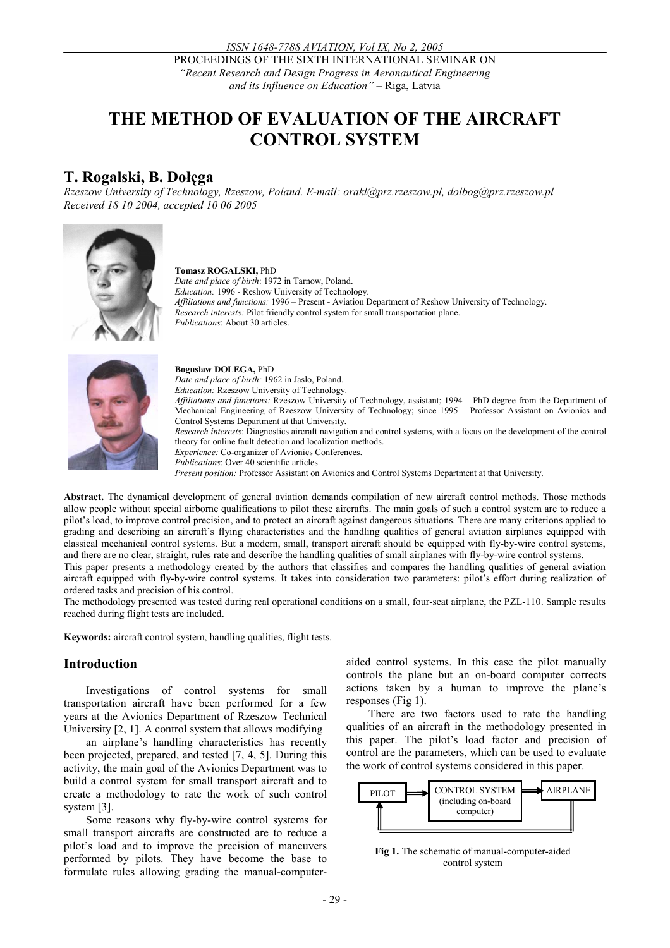PROCEEDINGS OF THE SIXTH INTERNATIONAL SEMINAR ON *"Recent Research and Design Progress in Aeronautical Engineering and its Influence on Education" –* Riga, Latvia

# **THE METHOD OF EVALUATION OF THE AIRCRAFT CONTROL SYSTEM**

## **T. Rogalski, B. Dołęga**

*Rzeszow University of Technology, Rzeszow, Poland. E-mail: orakl@prz.rzeszow.pl, dolbog@prz.rzeszow.pl Received 18 10 2004, accepted 10 06 2005* 



#### **Tomasz ROGALSKI,** PhD

*Date and place of birth*: 1972 in Tarnow, Poland. *Education:* 1996 - Reshow University of Technology. *Affiliations and functions:* 1996 – Present - Aviation Department of Reshow University of Technology. *Research interests:* Pilot friendly control system for small transportation plane. *Publications*: About 30 articles.



#### **Boguslaw DOLEGA,** PhD

*Date and place of birth:* 1962 in Jaslo, Poland.

*Education:* Rzeszow University of Technology. *Affiliations and functions:* Rzeszow University of Technology, assistant; 1994 – PhD degree from the Department of Mechanical Engineering of Rzeszow University of Technology; since 1995 – Professor Assistant on Avionics and Control Systems Department at that University.

*Research interests*: Diagnostics aircraft navigation and control systems, with a focus on the development of the control theory for online fault detection and localization methods.

*Experience:* Co-organizer of Avionics Conferences.

*Publications*: Over 40 scientific articles.

*Present position:* Professor Assistant on Avionics and Control Systems Department at that University.

**Abstract.** The dynamical development of general aviation demands compilation of new aircraft control methods. Those methods allow people without special airborne qualifications to pilot these aircrafts. The main goals of such a control system are to reduce a pilot's load, to improve control precision, and to protect an aircraft against dangerous situations. There are many criterions applied to grading and describing an aircraft's flying characteristics and the handling qualities of general aviation airplanes equipped with classical mechanical control systems. But a modern, small, transport aircraft should be equipped with fly-by-wire control systems, and there are no clear, straight, rules rate and describe the handling qualities of small airplanes with fly-by-wire control systems.

This paper presents a methodology created by the authors that classifies and compares the handling qualities of general aviation aircraft equipped with fly-by-wire control systems. It takes into consideration two parameters: pilot's effort during realization of ordered tasks and precision of his control.

The methodology presented was tested during real operational conditions on a small, four-seat airplane, the PZL-110. Sample results reached during flight tests are included.

**Keywords:** aircraft control system, handling qualities, flight tests.

#### **Introduction**

Investigations of control systems for small transportation aircraft have been performed for a few years at the Avionics Department of Rzeszow Technical University [2, 1]. A control system that allows modifying

an airplane's handling characteristics has recently been projected, prepared, and tested [7, 4, 5]. During this activity, the main goal of the Avionics Department was to build a control system for small transport aircraft and to create a methodology to rate the work of such control system [3].

Some reasons why fly-by-wire control systems for small transport aircrafts are constructed are to reduce a pilot's load and to improve the precision of maneuvers performed by pilots. They have become the base to formulate rules allowing grading the manual-computeraided control systems. In this case the pilot manually controls the plane but an on-board computer corrects actions taken by a human to improve the plane's responses (Fig 1).

There are two factors used to rate the handling qualities of an aircraft in the methodology presented in this paper. The pilot's load factor and precision of control are the parameters, which can be used to evaluate the work of control systems considered in this paper.



**Fig 1.** The schematic of manual-computer-aided control system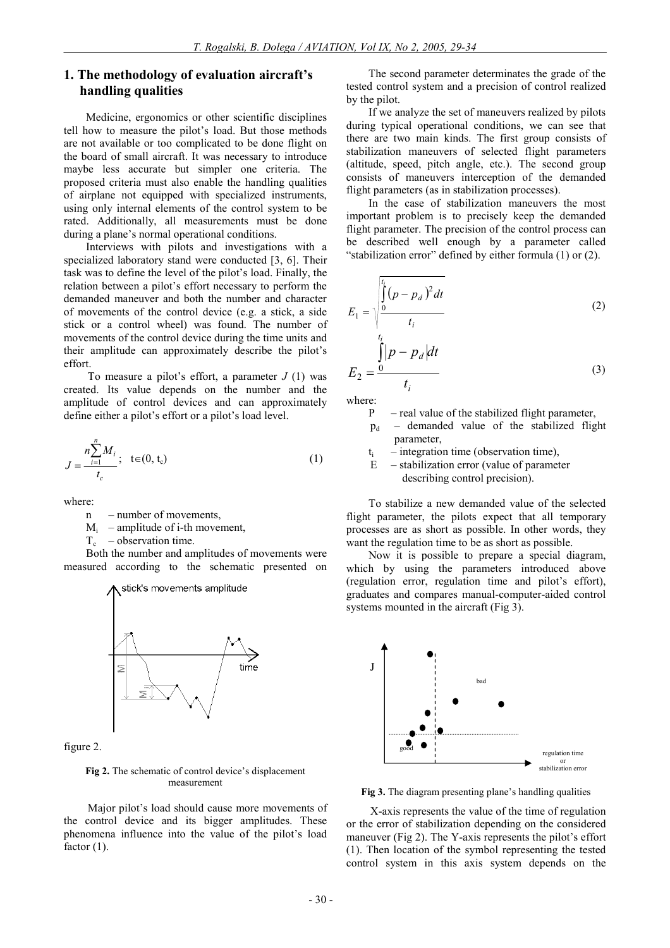#### **1. The methodology of evaluation aircraft's handling qualities**

Medicine, ergonomics or other scientific disciplines tell how to measure the pilot's load. But those methods are not available or too complicated to be done flight on the board of small aircraft. It was necessary to introduce maybe less accurate but simpler one criteria. The proposed criteria must also enable the handling qualities of airplane not equipped with specialized instruments, using only internal elements of the control system to be rated. Additionally, all measurements must be done during a plane's normal operational conditions.

Interviews with pilots and investigations with a specialized laboratory stand were conducted [3, 6]. Their task was to define the level of the pilot's load. Finally, the relation between a pilot's effort necessary to perform the demanded maneuver and both the number and character of movements of the control device (e.g. a stick, a side stick or a control wheel) was found. The number of movements of the control device during the time units and their amplitude can approximately describe the pilot's effort.

To measure a pilot's effort, a parameter *J* (1) was created. Its value depends on the number and the amplitude of control devices and can approximately define either a pilot's effort or a pilot's load level.

$$
J = \frac{n \sum_{i=1}^{n} M_i}{t_c}; \quad t \in (0, t_c)
$$
 (1)

where:

- n number of movements,
- $M_i$  amplitude of i-th movement,
- $T_c$  observation time.

Both the number and amplitudes of movements were measured according to the schematic presented on



figure 2.

**Fig 2.** The schematic of control device's displacement measurement

Major pilot's load should cause more movements of the control device and its bigger amplitudes. These phenomena influence into the value of the pilot's load factor  $(1)$ .

The second parameter determinates the grade of the tested control system and a precision of control realized by the pilot.

If we analyze the set of maneuvers realized by pilots during typical operational conditions, we can see that there are two main kinds. The first group consists of stabilization maneuvers of selected flight parameters (altitude, speed, pitch angle, etc.). The second group consists of maneuvers interception of the demanded flight parameters (as in stabilization processes).

In the case of stabilization maneuvers the most important problem is to precisely keep the demanded flight parameter. The precision of the control process can be described well enough by a parameter called "stabilization error" defined by either formula (1) or (2).

$$
E_1 = \sqrt{\int_0^{t_i} (p - p_d)^2 dt \over t_i}
$$
 (2)

$$
E_2 = \frac{\int_{0}^{\infty} |p - p_d| dt}{t_i} \tag{3}
$$

where:

- P real value of the stabilized flight parameter,
- $p_d$  demanded value of the stabilized flight parameter,
- $t_i$  integration time (observation time),
- E stabilization error (value of parameter describing control precision).

To stabilize a new demanded value of the selected flight parameter, the pilots expect that all temporary processes are as short as possible. In other words, they want the regulation time to be as short as possible.

Now it is possible to prepare a special diagram, which by using the parameters introduced above (regulation error, regulation time and pilot's effort), graduates and compares manual-computer-aided control systems mounted in the aircraft (Fig 3).



**Fig 3.** The diagram presenting plane's handling qualities

X-axis represents the value of the time of regulation or the error of stabilization depending on the considered maneuver (Fig 2). The Y-axis represents the pilot's effort (1). Then location of the symbol representing the tested control system in this axis system depends on the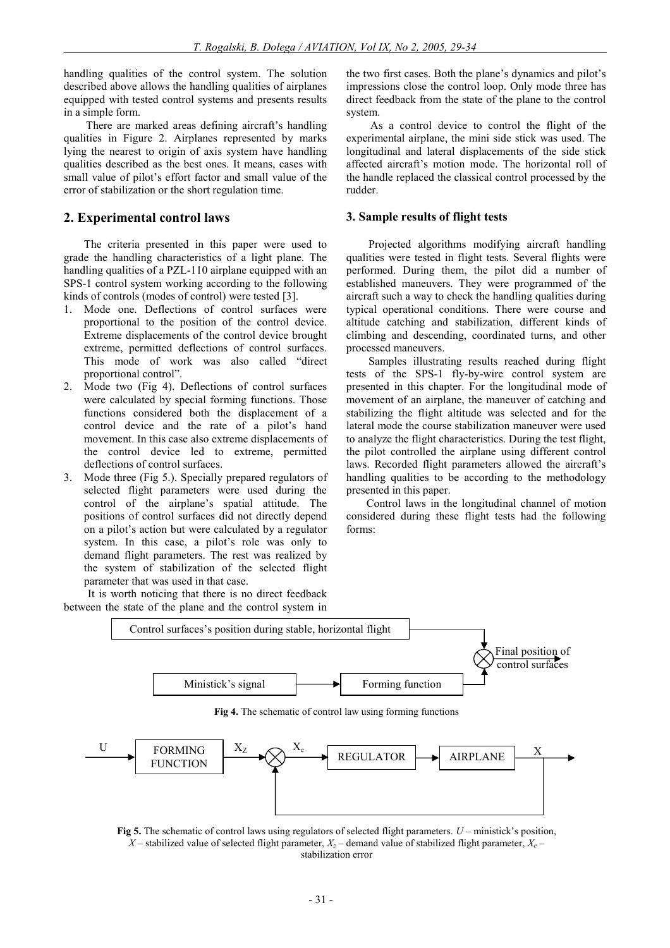handling qualities of the control system. The solution described above allows the handling qualities of airplanes equipped with tested control systems and presents results in a simple form.

There are marked areas defining aircraft's handling qualities in Figure 2. Airplanes represented by marks lying the nearest to origin of axis system have handling qualities described as the best ones. It means, cases with small value of pilot's effort factor and small value of the error of stabilization or the short regulation time.

#### **2. Experimental control laws**

The criteria presented in this paper were used to grade the handling characteristics of a light plane. The handling qualities of a PZL-110 airplane equipped with an SPS-1 control system working according to the following kinds of controls (modes of control) were tested [3].

- 1. Mode one. Deflections of control surfaces were proportional to the position of the control device. Extreme displacements of the control device brought extreme, permitted deflections of control surfaces. This mode of work was also called "direct proportional control".
- 2. Mode two (Fig 4). Deflections of control surfaces were calculated by special forming functions. Those functions considered both the displacement of a control device and the rate of a pilot's hand movement. In this case also extreme displacements of the control device led to extreme, permitted deflections of control surfaces.
- 3. Mode three (Fig 5.). Specially prepared regulators of selected flight parameters were used during the control of the airplane's spatial attitude. The positions of control surfaces did not directly depend on a pilot's action but were calculated by a regulator system. In this case, a pilot's role was only to demand flight parameters. The rest was realized by the system of stabilization of the selected flight parameter that was used in that case.

It is worth noticing that there is no direct feedback between the state of the plane and the control system in the two first cases. Both the plane's dynamics and pilot's impressions close the control loop. Only mode three has direct feedback from the state of the plane to the control system.

As a control device to control the flight of the experimental airplane, the mini side stick was used. The longitudinal and lateral displacements of the side stick affected aircraft's motion mode. The horizontal roll of the handle replaced the classical control processed by the rudder.

#### **3. Sample results of flight tests**

Projected algorithms modifying aircraft handling qualities were tested in flight tests. Several flights were performed. During them, the pilot did a number of established maneuvers. They were programmed of the aircraft such a way to check the handling qualities during typical operational conditions. There were course and altitude catching and stabilization, different kinds of climbing and descending, coordinated turns, and other processed maneuvers.

Samples illustrating results reached during flight tests of the SPS-1 fly-by-wire control system are presented in this chapter. For the longitudinal mode of movement of an airplane, the maneuver of catching and stabilizing the flight altitude was selected and for the lateral mode the course stabilization maneuver were used to analyze the flight characteristics. During the test flight, the pilot controlled the airplane using different control laws. Recorded flight parameters allowed the aircraft's handling qualities to be according to the methodology presented in this paper.

Control laws in the longitudinal channel of motion considered during these flight tests had the following forms:



**Fig 4.** The schematic of control law using forming functions



**Fig 5.** The schematic of control laws using regulators of selected flight parameters. *U* – ministick's position,  $X$  – stabilized value of selected flight parameter,  $X$ <sup>*z*</sup> – demand value of stabilized flight parameter,  $X$ <sup>*e*</sup> – stabilization error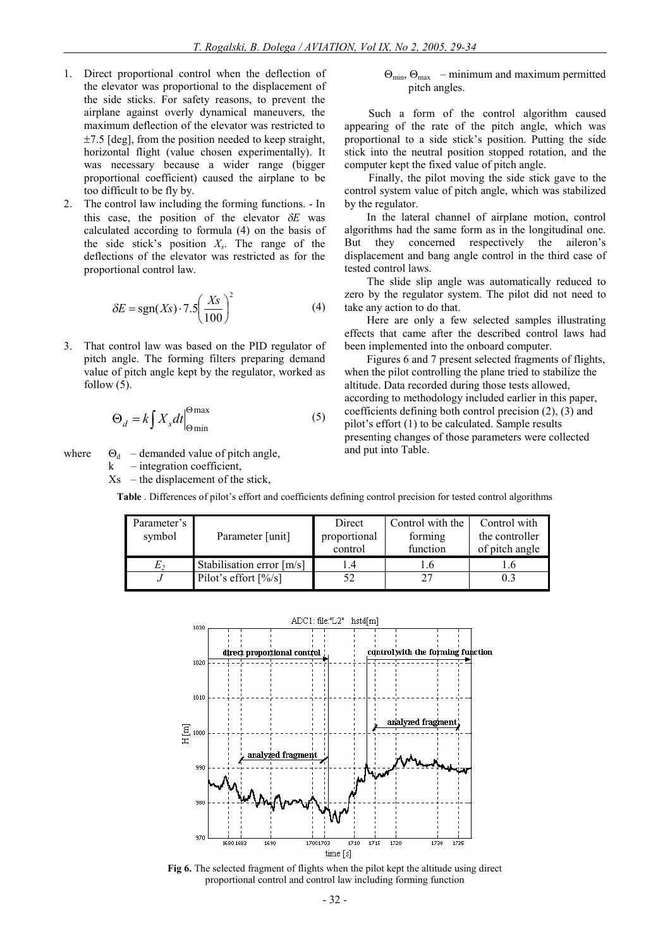- 1. Direct proportional control when the deflection of the elevator was proportional to the displacement of the side sticks. For safety reasons, to prevent the airplane against overly dynamical maneuvers, the maximum deflection of the elevator was restricted to  $\pm$ 7.5 [deg], from the position needed to keep straight, horizontal flight (value chosen experimentally). It was necessary because a wider range (bigger proportional coefficient) caused the airplane to be too difficult to be fly by.
- 2. The control law including the forming functions. In this case, the position of the elevator  $\delta E$  was calculated according to formula (4) on the basis of the side stick's position *X<sup>s</sup>* . The range of the deflections of the elevator was restricted as for the proportional control law.

$$
\delta E = \text{sgn}(Xs) \cdot 7.5 \left(\frac{Xs}{100}\right)^2 \tag{4}
$$

3. That control law was based on the PID regulator of pitch angle. The forming filters preparing demand value of pitch angle kept by the regulator, worked as follow  $(5)$ .

$$
\Theta_d = k \int X_s dt \Big|_{\Theta \text{min}}^{\Theta \text{max}} \tag{5}
$$

where  $\Theta_d$  – demanded value of pitch angle,

 $k$  – integration coefficient,

 $Xs$  – the displacement of the stick,

 $\Theta_{\text{min}}$ ,  $\Theta_{\text{max}}$  – minimum and maximum permitted pitch angles.

Such a form of the control algorithm caused appearing of the rate of the pitch angle, which was proportional to a side stick's position. Putting the side stick into the neutral position stopped rotation, and the computer kept the fixed value of pitch angle.

Finally, the pilot moving the side stick gave to the control system value of pitch angle, which was stabilized by the regulator.

In the lateral channel of airplane motion, control algorithms had the same form as in the longitudinal one. But they concerned respectively the aileron's displacement and bang angle control in the third case of tested control laws.

The slide slip angle was automatically reduced to zero by the regulator system. The pilot did not need to take any action to do that.

Here are only a few selected samples illustrating effects that came after the described control laws had been implemented into the onboard computer.

Figures 6 and 7 present selected fragments of flights, when the pilot controlling the plane tried to stabilize the altitude. Data recorded during those tests allowed, according to methodology included earlier in this paper, coefficients defining both control precision (2), (3) and pilot's effort (1) to be calculated. Sample results presenting changes of those parameters were collected and put into Table.

**Table** . Differences of pilot's effort and coefficients defining control precision for tested control algorithms

| Parameter's |                                           | Direct       | Control with the | Control with   |
|-------------|-------------------------------------------|--------------|------------------|----------------|
| symbol      | Parameter [unit]                          | proportional | forming          | the controller |
|             |                                           | control      | function         | of pitch angle |
| E,          | Stabilisation error [m/s]                 |              |                  |                |
|             | Pilot's effort $\left[\frac{9}{8}\right]$ |              |                  | 0.3            |



**Fig 6.** The selected fragment of flights when the pilot kept the altitude using direct proportional control and control law including forming function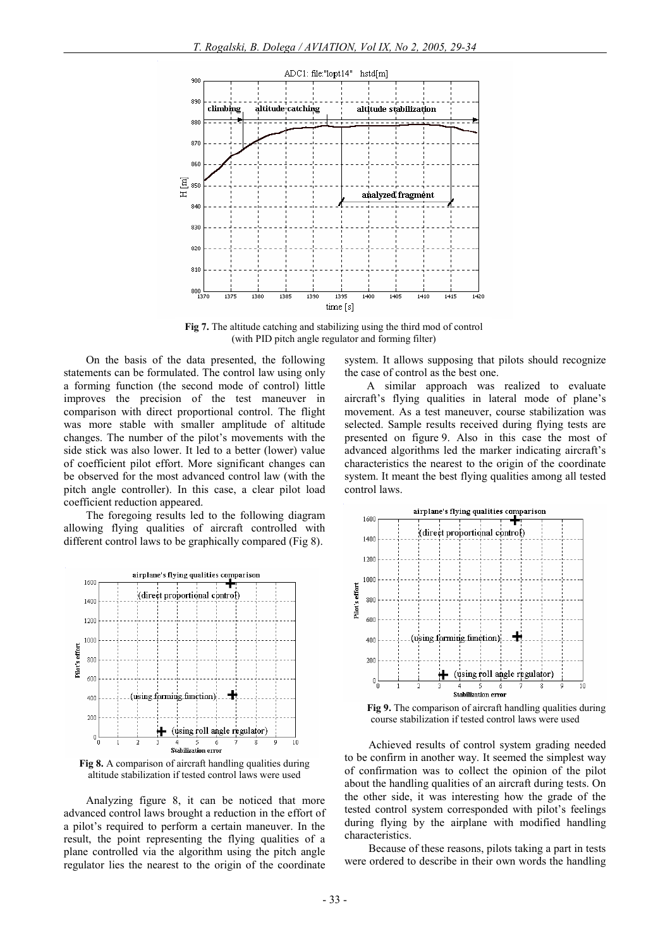

**Fig 7.** The altitude catching and stabilizing using the third mod of control (with PID pitch angle regulator and forming filter)

On the basis of the data presented, the following statements can be formulated. The control law using only a forming function (the second mode of control) little improves the precision of the test maneuver in comparison with direct proportional control. The flight was more stable with smaller amplitude of altitude changes. The number of the pilot's movements with the side stick was also lower. It led to a better (lower) value of coefficient pilot effort. More significant changes can be observed for the most advanced control law (with the pitch angle controller). In this case, a clear pilot load coefficient reduction appeared.

The foregoing results led to the following diagram allowing flying qualities of aircraft controlled with different control laws to be graphically compared (Fig 8).



**Fig 8.** A comparison of aircraft handling qualities during altitude stabilization if tested control laws were used

Analyzing figure 8, it can be noticed that more advanced control laws brought a reduction in the effort of a pilot's required to perform a certain maneuver. In the result, the point representing the flying qualities of a plane controlled via the algorithm using the pitch angle regulator lies the nearest to the origin of the coordinate system. It allows supposing that pilots should recognize the case of control as the best one.

A similar approach was realized to evaluate aircraft's flying qualities in lateral mode of plane's movement. As a test maneuver, course stabilization was selected. Sample results received during flying tests are presented on figure 9. Also in this case the most of advanced algorithms led the marker indicating aircraft's characteristics the nearest to the origin of the coordinate system. It meant the best flying qualities among all tested control laws.



**Fig 9.** The comparison of aircraft handling qualities during course stabilization if tested control laws were used

Achieved results of control system grading needed to be confirm in another way. It seemed the simplest way of confirmation was to collect the opinion of the pilot about the handling qualities of an aircraft during tests. On the other side, it was interesting how the grade of the tested control system corresponded with pilot's feelings during flying by the airplane with modified handling characteristics.

Because of these reasons, pilots taking a part in tests were ordered to describe in their own words the handling